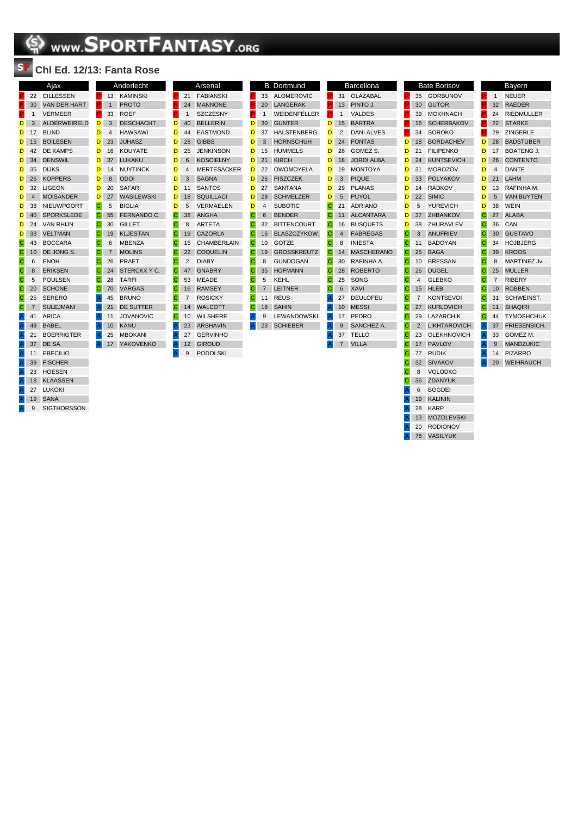## **SPORTFANTASY.ORG**

## **Chl Ed. 12/13: Fanta Rose**

|                                                                       |                 | Ajax                |
|-----------------------------------------------------------------------|-----------------|---------------------|
| P                                                                     | 22              | <b>CILLESSEN</b>    |
| P                                                                     | 30              | <b>VAN DER HART</b> |
| ſ.                                                                    | 1               | <b>VERMEER</b>      |
| D                                                                     | 3               | <b>ALDERWEIRELD</b> |
| D                                                                     | 17              | <b>BLIND</b>        |
| D                                                                     | 15              | <b>BOILESEN</b>     |
| D                                                                     | 42              | <b>DE KAMPS</b>     |
| D                                                                     | 34              | <b>DENSWIL</b>      |
| D                                                                     | 35              | DIJKS               |
| D                                                                     | 26              | <b>KOPPERS</b>      |
| D                                                                     | 32              | LIGEON              |
| D                                                                     | $\overline{4}$  | <b>MOISANDER</b>    |
| D                                                                     | 38              | NIEUWPOORT          |
| D                                                                     | 40              | <b>SPORKSLEDE</b>   |
| D                                                                     | 24              | VAN RHIJN           |
| D                                                                     | 33              | <b>VELTMAN</b>      |
| $\overline{\mathbf{C}}$                                               | 43              | <b>BOCCARA</b>      |
| $\mathbf C$                                                           | 10 <sup>1</sup> | DE JONG S.          |
| $\mathsf{C}$                                                          | 6               | <b>ENOH</b>         |
| C                                                                     | 8               | <b>ERIKSEN</b>      |
| C                                                                     | 5               | <b>POULSEN</b>      |
| C                                                                     | 20              | <b>SCHONE</b>       |
| C                                                                     | 25              | <b>SERERO</b>       |
| $\mathsf{C}$                                                          | $\overline{7}$  | <b>SULEJMANI</b>    |
| $\mathsf{A}$                                                          | 41              | ARICA               |
| $\overline{A}$                                                        | 49              | <b>BABEL</b>        |
| $\overline{\mathsf{A}}$                                               | 21              | <b>BOERRIGTER</b>   |
| $\mathsf{A}% _{\mathsf{A}}^{\prime}=\mathsf{A}_{\mathsf{A}}^{\prime}$ | 37              | DE SA               |
| $\overline{A}$                                                        | 11              | <b>EBECILIO</b>     |
| $\overline{A}$                                                        | 39              | <b>FISCHER</b>      |
| $\mathsf{A}$                                                          | 23              | <b>HOESEN</b>       |
| $\mathsf{A}$                                                          | 18              | <b>KLAASSEN</b>     |
| $\mathsf{A}$                                                          | 27              | LUKOKI              |
| $\mathsf{A}$                                                          | 19              | <b>SANA</b>         |
| Ā                                                                     | 9               | <b>SIGTHORSSON</b>  |

|                |                | Anderlecht        |    |                |
|----------------|----------------|-------------------|----|----------------|
| P              | 13             | <b>KAMINSKI</b>   | P  | 21             |
| P              | $\mathbf{1}$   | <b>PROTO</b>      | P  | 24             |
| P              | 33             | <b>ROEF</b>       | P  | 1              |
| D              | 3              | <b>DESCHACHT</b>  | D  | 4(             |
| D              | 4              | <b>HAWSAWI</b>    | D  | 44             |
| D              | 23             | <b>JUHASZ</b>     | D  | 28             |
| D              | 16             | <b>KOUYATE</b>    | D  | 25             |
| D              | 37             | LUKAKU            | D  | 6              |
| D              | 14             | <b>NUYTINCK</b>   | D  | $\overline{4}$ |
| D              | 8              | <b>ODOI</b>       | D  | 3              |
| D              | 20             | <b>SAFARI</b>     | D  | 11             |
| D              | 27             | <b>WASILEWSKI</b> | D  | 18             |
| С              | 5              | <b>BIGLIA</b>     | D  | 5              |
| C              | 55             | FERNANDO C.       | C  | 38             |
| C              | 30             | <b>GILLET</b>     | С  | 8              |
| С              | 19             | <b>KLJESTAN</b>   | С  | 1 <sup>5</sup> |
| C              | 6              | <b>MBENZA</b>     | C. | 15             |
| C              | $\overline{7}$ | <b>MOLINS</b>     | C  | 22             |
| C              | 26             | <b>PRAET</b>      | С  | 2              |
| $\mathbf C$    | 24             | STERCKX Y C.      | C. | 47             |
| С              | 28             | <b>TARFI</b>      | С  | 53             |
| C              | 70             | <b>VARGAS</b>     | С  | 16             |
| $\mathsf{A}$   | 45             | <b>BRUNO</b>      | С  | 7              |
| $\mathsf{A}$   | 21             | <b>DE SUTTER</b>  | C. | 14             |
| $\overline{A}$ | 11             | <b>JOVANOVIC</b>  | С  | 1 <sup>1</sup> |
| $\overline{A}$ | 10             | <b>KANU</b>       | A  | 2 <sup>°</sup> |
| A              | 25             | <b>MBOKANI</b>    | A  | 27             |
| $\overline{A}$ | 17             | <b>YAKOVENKO</b>  | A  | 12             |

|    |                | Arsenal            |                |    | <b>B.</b> Dortmund |
|----|----------------|--------------------|----------------|----|--------------------|
| P  | 21             | <b>FABIANSKI</b>   | P              | 33 | <b>ALOMEROVI</b>   |
| P. | 24             | <b>MANNONE</b>     | P.             | 20 | <b>LANGERAK</b>    |
| P  | 1              | <b>SZCZESNY</b>    | P              | 1  | WEIDENFELI         |
| D  | 40             | <b>BELLERIN</b>    | D              | 30 | <b>GUNTER</b>      |
| D  | 44             | <b>EASTMOND</b>    | D              | 37 | <b>HALSTENBEI</b>  |
| D  | 28             | <b>GIBBS</b>       | D              | 3  | <b>HORNSCHUI</b>   |
| D  | 25             | <b>JENKINSON</b>   | D              | 15 | <b>HUMMELS</b>     |
| D  | 6              | <b>KOSCIELNY</b>   | D              | 21 | <b>KIRCH</b>       |
| D  | 4              | <b>MERTESACKER</b> | D              | 22 | <b>OWOMOYEL</b>    |
| D  | 3              | <b>SAGNA</b>       | D              | 26 | <b>PISZCZEK</b>    |
| D  | 11             | <b>SANTOS</b>      | D              | 27 | <b>SANTANA</b>     |
| D  | 18             | <b>SQUILLACI</b>   | D              | 29 | <b>SCHMELZER</b>   |
| D  | 5              | <b>VERMAELEN</b>   | D              | 4  | <b>SUBOTIC</b>     |
| C  | 38             | <b>ANGHA</b>       | C              | 6  | <b>BENDER</b>      |
| С  | 8              | <b>ARTETA</b>      | С              | 32 | <b>BITTENCOUR</b>  |
| Ċ  | 19             | <b>CAZORLA</b>     | С              | 16 | <b>BLASZCZYK</b>   |
| C  | 15             | CHAMBERLAIN        | C              | 10 | GOTZE              |
| C  | 22             | <b>COQUELIN</b>    | C              | 19 | <b>GROSSKREL</b>   |
| С  | $\overline{2}$ | <b>DIABY</b>       | С              | 8  | <b>GUNDOGAN</b>    |
| C  | 47             | <b>GNABRY</b>      | С              | 35 | <b>HOFMANN</b>     |
| С  | 53             | <b>MEADE</b>       | C              | 5  | KEHL               |
| С  | 16             | <b>RAMSEY</b>      | C              | 7  | <b>LEITNER</b>     |
| С  | $\overline{7}$ | <b>ROSICKY</b>     | C              | 11 | <b>REUS</b>        |
| С  | 14             | <b>WALCOTT</b>     | $\overline{C}$ | 18 | <b>SAHIN</b>       |
| C  | 10             | <b>WILSHERE</b>    | A              | 9  | <b>LEWANDOW</b>    |
| A  | 23             | <b>ARSHAVIN</b>    | Α              | 23 | <b>SCHIEBER</b>    |
| A  | 27             | <b>GERVINHO</b>    |                |    |                    |
| Å  | 12             | <b>GIROUD</b>      |                |    |                    |

A 9 PODOLSKI

|    | В.             | Dortmund           |   |
|----|----------------|--------------------|---|
| P  | 33             | <b>ALOMEROVIC</b>  | P |
| P. | 20             | LANGERAK           | Þ |
| P  | 1              | WEIDENFELLER       | Þ |
| D  | 30             | <b>GUNTER</b>      | D |
| D  | 37             | <b>HALSTENBERG</b> | D |
| D  | 3              | <b>HORNSCHUH</b>   | D |
| D  | 15             | <b>HUMMELS</b>     | n |
| D  | 21             | <b>KIRCH</b>       | D |
| D  | 22             | <b>OWOMOYELA</b>   | D |
| D  | 26             | <b>PISZCZEK</b>    | D |
| D  | 27             | <b>SANTANA</b>     | D |
| D  | 29             | <b>SCHMELZER</b>   | D |
| D  | $\overline{4}$ | <b>SUBOTIC</b>     | С |
| Ĉ  | 6              | <b>BENDER</b>      | Ć |
| C  | 32             | <b>BITTENCOURT</b> | С |
| С  | 16             | BLASZCZYKOW.       | С |
| Ċ  | 10             | GOTZE              | Ċ |
| C  | 19             | <b>GROSSKREUTZ</b> | C |
| С  | 8              | GUNDOGAN           | С |
| Ć  | 35             | <b>HOFMANN</b>     | C |
| C  | 5              | KEHL               | C |
| С  | $\overline{7}$ | <b>LEITNER</b>     | С |
| Ć  | 11             | <b>REUS</b>        | A |
| С  | 18             | <b>SAHIN</b>       | A |
| A  | 9              | <b>LEWANDOWSKI</b> | A |
| A  | 23             | <b>SCHIEBER</b>    | A |
|    |                |                    | Ä |

|    |                | <b>Barcellona</b> |
|----|----------------|-------------------|
| Ē. | 31             | OLAZABAL          |
| P. | 13             | PINTO J.          |
| P. | 1              | <b>VALDES</b>     |
| D  | 15             | <b>BARTRA</b>     |
| D  | $\overline{2}$ | <b>DANI ALVES</b> |
| D. | 24             | <b>FONTAS</b>     |
| D  | 26             | GOMEZ S.          |
| D  | 18             | <b>JORDI ALBA</b> |
| D  | 19             | <b>MONTOYA</b>    |
| D  | 3              | <b>PIQUE</b>      |
| D  | 29             | <b>PLANAS</b>     |
| D  | $5^{\circ}$    | <b>PUYOL</b>      |
| C  | 21             | <b>ADRIANO</b>    |
| Ċ  | 11             | <b>ALCANTARA</b>  |
| C  | 16             | <b>BUSQUETS</b>   |
| C  | $\overline{4}$ | <b>FABREGAS</b>   |
| C  | 8              | <b>INIESTA</b>    |
| Ċ  | 14             | <b>MASCHERANO</b> |
| C  | 30             | RAFINHA A.        |
| C  | 28             | <b>ROBERTO</b>    |
| С  | 25             | SONG              |
| Ċ  | 6              | <b>XAVI</b>       |
| A  | 27             | <b>DEULOFEU</b>   |
| A  | 10             | <b>MESSI</b>      |
| Â  | 17             | PEDRO             |
| A  | 9              | SANCHEZ A.        |
| Ä  | 37             | <b>TELLO</b>      |
| A  | 7              | <b>VILLA</b>      |
|    |                |                   |
|    |                |                   |

| <b>Bate Borisov</b> |    |                   |  |  |  |  |  |
|---------------------|----|-------------------|--|--|--|--|--|
| P                   | 35 | <b>GORBUNOV</b>   |  |  |  |  |  |
| P                   | 30 | <b>GUTOR</b>      |  |  |  |  |  |
| P.                  | 39 | <b>MOKHNACH</b>   |  |  |  |  |  |
| P                   | 16 | <b>SCHERBAKOV</b> |  |  |  |  |  |
| P.                  | 34 | SOROKO            |  |  |  |  |  |
| D                   | 18 | <b>BORDACHEV</b>  |  |  |  |  |  |
| D                   | 21 | <b>FILIPENKO</b>  |  |  |  |  |  |
| D                   | 24 | <b>KUNTSEVICH</b> |  |  |  |  |  |
| D                   | 31 | <b>MOROZOV</b>    |  |  |  |  |  |
| D                   | 33 | <b>POLYAKOV</b>   |  |  |  |  |  |
| D                   | 14 | <b>RADKOV</b>     |  |  |  |  |  |
| D                   | 22 | <b>SIMIC</b>      |  |  |  |  |  |
| D                   | 5  | <b>YUREVICH</b>   |  |  |  |  |  |
| D                   | 37 | <b>ZHBANKOV</b>   |  |  |  |  |  |
| D.                  | 38 | ZHURAVLEV         |  |  |  |  |  |
| C                   | 3  | <b>ANUFRIEV</b>   |  |  |  |  |  |
| C                   | 11 | <b>BADOYAN</b>    |  |  |  |  |  |
| С                   | 25 | <b>BAGA</b>       |  |  |  |  |  |
| С                   | 10 | <b>BRESSAN</b>    |  |  |  |  |  |
| С                   | 26 | <b>DUGEL</b>      |  |  |  |  |  |
| C                   | 4  | GLEBKO            |  |  |  |  |  |
| С                   | 15 | <b>HLEB</b>       |  |  |  |  |  |
| С                   | 7  | <b>KONTSEVOI</b>  |  |  |  |  |  |
| С                   | 27 | <b>KURLOVICH</b>  |  |  |  |  |  |
| С                   | 29 | <b>LAZARCHIK</b>  |  |  |  |  |  |
| С                   | 2  | LIKHTAROVICH      |  |  |  |  |  |
| С                   | 23 | OLEKHNOVICH       |  |  |  |  |  |
| С                   | 17 | <b>PAVLOV</b>     |  |  |  |  |  |
| C                   | 77 | <b>RUDIK</b>      |  |  |  |  |  |
| C.                  | 32 | <b>SIVAKOV</b>    |  |  |  |  |  |
| C.                  | 8  | <b>VOLODKO</b>    |  |  |  |  |  |
| C                   | 36 | <b>ZDANYUK</b>    |  |  |  |  |  |
| A                   | 6  | <b>BOGDEI</b>     |  |  |  |  |  |
| A                   | 19 | <b>KALININ</b>    |  |  |  |  |  |

**A** 28 KARP A 13 MOZOLEVSKI A 20 RODIONOV A 78 VASILYUK

|                |                 | Bayern              |
|----------------|-----------------|---------------------|
| P              | $\mathbf{1}$    | <b>NEUER</b>        |
| P.             | 32              | <b>RAEDER</b>       |
| P.             | 24              | <b>RIEDMULLER</b>   |
| P              | 22              | <b>STARKE</b>       |
| P              | 29              | ZINGERLE            |
| D              | 28              | <b>BADSTUBER</b>    |
| D              | 17              | <b>BOATENG J.</b>   |
| D              | 26              | <b>CONTENTO</b>     |
| D              | 4               | DANTE               |
| D              | 21              | <b>LAHM</b>         |
| D              | 13              | RAFINHA M.          |
| D              | 5               | <b>VAN BUYTEN</b>   |
| D              | 38              | WEIN                |
| С              | 27              | <b>ALABA</b>        |
| С              | 36              | CAN                 |
| С              | 30              | <b>GUSTAVO</b>      |
| С              | 34              | <b>HOJBJERG</b>     |
| С              | 39              | <b>KROOS</b>        |
| С              | 8               | <b>MARTINEZ Jv.</b> |
| С              | 25              | <b>MULLER</b>       |
| C.             | $\overline{7}$  | <b>RIBERY</b>       |
| С              | 10 <sup>1</sup> | <b>ROBBEN</b>       |
| С              | 31              | <b>SCHWEINST.</b>   |
| C              | 11              | <b>SHAQIRI</b>      |
| С              | 44              | <b>TYMOSHCHUK</b>   |
| $\overline{A}$ | 37              | <b>FRIESENBICH.</b> |
| A              | 33              | GOMEZ M.            |
| Â              | 9               | <b>MANDZUKIC</b>    |
| $\overline{A}$ | 14              | <b>PIZARRO</b>      |
| $\overline{A}$ | 20              | WEIHRAUCH           |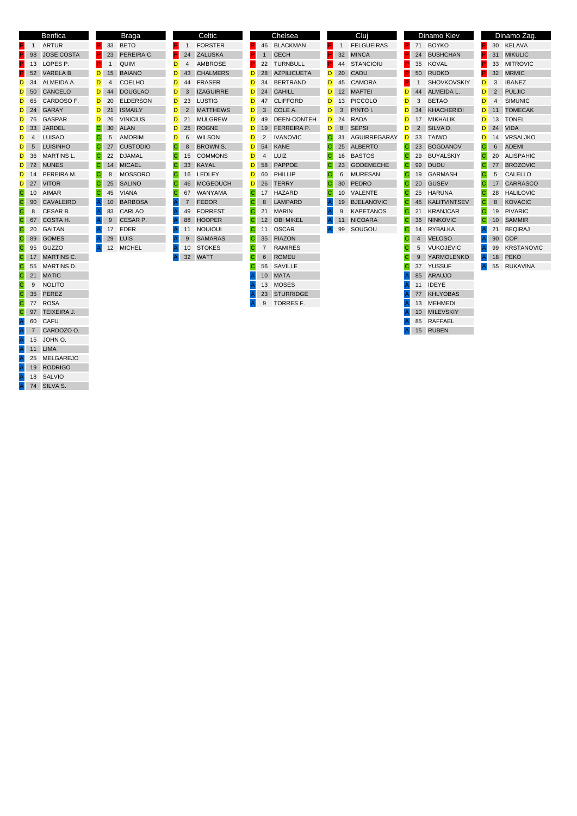|    |                | <b>Benfica</b>    |   |                 | <b>Braga</b>    |   |                | Celtic           |   |                | Chelsea            |   |              | Cluj                |   | Dinamo Kiev                     |              |                | Dinamo Zag.       |
|----|----------------|-------------------|---|-----------------|-----------------|---|----------------|------------------|---|----------------|--------------------|---|--------------|---------------------|---|---------------------------------|--------------|----------------|-------------------|
| P. | $\mathbf{1}$   | <b>ARTUR</b>      |   | 33              | <b>BETO</b>     |   |                | <b>FORSTER</b>   |   | 46             | <b>BLACKMAN</b>    |   |              | <b>FELGUEIRAS</b>   |   | 71 BOYKO                        |              |                | 30 KELAVA         |
| P. | 98             | <b>JOSE COSTA</b> |   | 23              | PEREIRA C.      |   | 24             | <b>ZALUSKA</b>   |   |                | <b>CECH</b>        |   | 32           | <b>MINCA</b>        |   | 24 BUSHCHAN                     |              |                | 31 MIKULIC        |
| P. | 13             | LOPES P.          | P |                 | <b>QUIM</b>     | D | $\overline{4}$ | <b>AMBROSE</b>   |   | 22             | TURNBULL           |   | 44           | <b>STANCIOIU</b>    |   | 35 KOVAL                        |              |                | 33 MITROVIC       |
|    | 52             | <b>VARELA B.</b>  | D | 15              | <b>BAIANO</b>   | D | 43             | <b>CHALMERS</b>  | D | 28             | <b>AZPILICUETA</b> | D | 20           | CADU                |   | 50 RUDKO                        |              |                | 32 MRMIC          |
| D  | 34             | ALMEIDA A.        | D | $\overline{4}$  | <b>COELHO</b>   | D | 44             | <b>FRASER</b>    | D | 34             | <b>BERTRAND</b>    | D | 45           | <b>CAMORA</b>       |   | <b>SHOVKOVSKIY</b>              | D            | 3              | <b>IBANEZ</b>     |
| D  | 50             | <b>CANCELO</b>    | D | 44              | <b>DOUGLAO</b>  | D | 3              | <b>IZAGUIRRE</b> | D | 24             | <b>CAHILL</b>      | D | 12           | <b>MAFTEI</b>       | D | 44<br>ALMEIDA L.                | D            | $\overline{2}$ | <b>PULJIC</b>     |
| D  | 65             | CARDOSO F.        | D | 20              | <b>ELDERSON</b> | D | 23             | LUSTIG           | D | 47             | <b>CLIFFORD</b>    | D | 13           | <b>PICCOLO</b>      | D | 3<br><b>BETAO</b>               | D            | 4              | <b>SIMUNIC</b>    |
| D  | 24             | <b>GARAY</b>      | D | 21              | <b>ISMAILY</b>  | D | 2              | <b>MATTHEWS</b>  | D | 3              | COLE A.            | D | 3            | PINTO I.            | D | KHACHERIDI<br>34                | D            |                | 11 TOMECAK        |
| D  | 76             | <b>GASPAR</b>     | D | 26              | <b>VINICIUS</b> | D | 21             | <b>MULGREW</b>   | D | 49             | DEEN-CONTEH        | D | 24           | <b>RADA</b>         | D | 17 MIKHALIK                     | D            | 13             | <b>TONEL</b>      |
| D  | 33             | <b>JARDEL</b>     | C | 30              | ALAN            | D | 25             | <b>ROGNE</b>     | D | 19             | <b>FERREIRA P.</b> | D | 8            | <b>SEPSI</b>        | D | 2<br>SILVA D.                   | D            |                | 24 VIDA           |
| D  | $\overline{4}$ | <b>LUISAO</b>     | C | 5               | <b>AMORIM</b>   | D | 6              | <b>WILSON</b>    | D | 2              | <b>IVANOVIC</b>    | C | 31           | <b>AGUIRREGARAY</b> | D | 33<br><b>TAIWO</b>              | D            |                | 14 VRSALJKO       |
| D  | 5              | <b>LUISINHO</b>   | C |                 | 27 CUSTODIO     | C | 8              | <b>BROWN S.</b>  | D | 54             | <b>KANE</b>        | C | 25           | ALBERTO             | С | 23 BOGDANOV                     | C            | 6              | ADEMI             |
| D  | 36             | <b>MARTINS L.</b> | C | 22              | <b>DJAMAL</b>   | C | 15             | <b>COMMONS</b>   | D | $\overline{4}$ | LUIZ               | C | 16           | <b>BASTOS</b>       | C | <b>BUYALSKIY</b><br>29          | C            | 20             | ALISPAHIC         |
| D  | 72             | <b>NUNES</b>      | C | 14              | <b>MICAEL</b>   | C | 33             | <b>KAYAL</b>     | D | 58             | PAPPOE             | C | 23           | <b>GODEMECHE</b>    | С | <b>DUDU</b><br>99               | $\mathsf{C}$ |                | 77 BROZOVIC       |
| D  | - 14           | PEREIRA M.        | C | 8               | <b>MOSSORO</b>  | С | 16             | LEDLEY           | D | 60             | PHILLIP            | C | 6            | <b>MURESAN</b>      | С | 19 GARMASH                      | C            | 5              | <b>CALELLO</b>    |
| D  | 27             | <b>VITOR</b>      |   | 25              | <b>SALINO</b>   | C | 46             | <b>MCGEOUCH</b>  | D | 26             | <b>TERRY</b>       | C | 30           | <b>PEDRO</b>        | С | <b>GUSEV</b><br>20              | C            |                | 17 CARRASCO       |
| C  | 10             | <b>AIMAR</b>      | C | 45              | <b>VIANA</b>    | C | 67             | WANYAMA          | C |                | 17 HAZARD          | C | 10           | VALENTE             | С | HARUNA<br>25                    | C            | 28             | <b>HALILOVIC</b>  |
| С  | 90             | <b>CAVALEIRO</b>  |   | 10 <sup>°</sup> | <b>BARBOSA</b>  |   |                | <b>FEDOR</b>     |   | 8              | LAMPARD            |   | 19           | <b>BJELANOVIC</b>   | С | <b>KALITVINTSEV</b><br>45       |              | 8              | <b>KOVACIC</b>    |
| C  | 8              | <b>CESAR B.</b>   |   | 83              | <b>CARLAO</b>   |   | 49             | <b>FORREST</b>   |   | 21             | <b>MARIN</b>       |   | $\mathbf{Q}$ | <b>KAPETANOS</b>    | C | <b>KRANJCAR</b><br>21           | C            | 19             | <b>PIVARIC</b>    |
| C  | 67             | COSTA H.          |   | 9               | <b>CESAR P.</b> |   | 88             | <b>HOOPER</b>    |   |                | 12 OBI MIKEL       |   | 11           | <b>NICOARA</b>      |   | <b>NINKOVIC</b><br>36           |              |                | 10 SAMMIR         |
| C  | 20             | <b>GAITAN</b>     |   |                 | 17 EDER         |   | 11             | <b>NOUIOUI</b>   | С |                | 11 OSCAR           |   | 99           | SOUGOU              | С | 14 RYBALKA                      |              | 21             | <b>BEQIRAJ</b>    |
| C  | 89             | <b>GOMES</b>      |   | 29              | LUIS            |   | 9              | <b>SAMARAS</b>   |   |                | 35 PIAZON          |   |              |                     |   | <b>VELOSO</b><br>$\overline{4}$ |              | 90             | <b>COP</b>        |
| C  | 95             | GUZZO             |   | 12 <sup>2</sup> | <b>MICHEL</b>   |   | 10             | <b>STOKES</b>    | C | $\overline{7}$ | RAMIRES            |   |              |                     |   | <b>VUKOJEVIC</b><br>5           |              | 99             | <b>KRSTANOVIC</b> |
| C  | 17             | <b>MARTINS C.</b> |   |                 |                 |   |                | 32 WATT          |   | 6              | <b>ROMEU</b>       |   |              |                     |   | <b>YARMOLENKO</b><br>9          |              | 18             | PEKO              |
| С  | 55             | <b>MARTINS D.</b> |   |                 |                 |   |                |                  | С | 56             | SAVILLE            |   |              |                     |   | 37 YUSSUF                       |              | 55             | <b>RUKAVINA</b>   |
| C  | 21             | <b>MATIC</b>      |   |                 |                 |   |                |                  |   | 10             | <b>MATA</b>        |   |              |                     |   | 85<br>ARAUJO                    |              |                |                   |
| С  | 9              | <b>NOLITO</b>     |   |                 |                 |   |                |                  |   | 13             | MOSES              |   |              |                     |   | 11 IDEYE                        |              |                |                   |
| С  | 35             | PEREZ             |   |                 |                 |   |                |                  |   | 23             | <b>STURRIDGE</b>   |   |              |                     |   | 77 KHLYOBAS                     |              |                |                   |
| С  | 77             | <b>ROSA</b>       |   |                 |                 |   |                |                  |   | 9              | <b>TORRES F.</b>   |   |              |                     |   | 13 MEHMEDI                      |              |                |                   |
| С  | 97             | TEIXEIRA J.       |   |                 |                 |   |                |                  |   |                |                    |   |              |                     |   | 10 MILEVSKIY                    |              |                |                   |
| A  | 60             | CAFU              |   |                 |                 |   |                |                  |   |                |                    |   |              |                     |   | 85<br>RAFFAEL                   |              |                |                   |
|    | $\overline{7}$ | CARDOZO O.        |   |                 |                 |   |                |                  |   |                |                    |   |              |                     |   | 15 RUBEN                        |              |                |                   |
| A  | 15             | JOHN O.           |   |                 |                 |   |                |                  |   |                |                    |   |              |                     |   |                                 |              |                |                   |
|    | 11             | <b>LIMA</b>       |   |                 |                 |   |                |                  |   |                |                    |   |              |                     |   |                                 |              |                |                   |
|    | 25             | <b>MELGAREJO</b>  |   |                 |                 |   |                |                  |   |                |                    |   |              |                     |   |                                 |              |                |                   |

A 19 RODRIGO A 18 SALVIO A 74 SILVA S.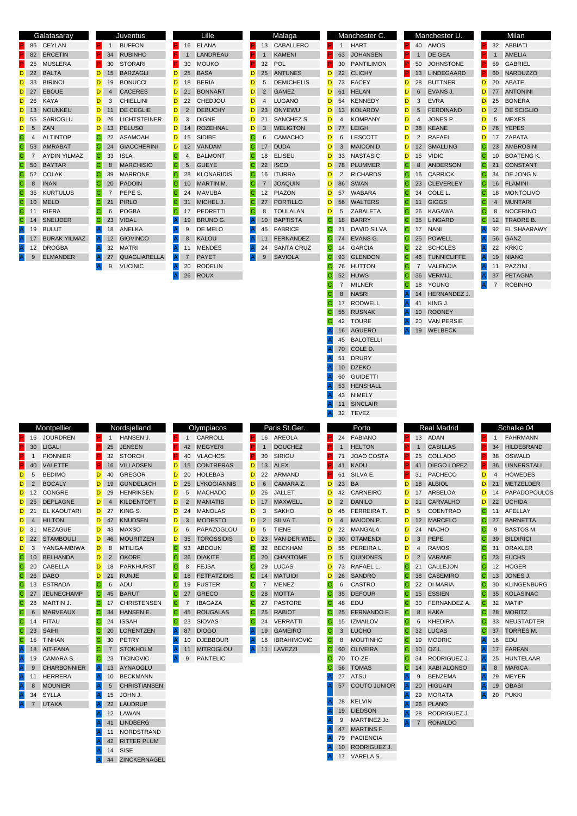| Galatasaray                             | Juventus                                     | Lille                                  | <b>Malaga</b>                       | Manchester C.                          | Manchester U.                         | Milan                                           |
|-----------------------------------------|----------------------------------------------|----------------------------------------|-------------------------------------|----------------------------------------|---------------------------------------|-------------------------------------------------|
| CEYLAN<br>86                            | <b>BUFFON</b><br>P<br>$\mathbf{1}$           | ELANA<br>16                            | 13 CABALLERO                        | <b>HART</b><br>$\mathbf{1}$            | 40 AMOS                               | 32<br>ABBIATI                                   |
| <b>ERCETIN</b><br>82                    | <b>RUBINHO</b><br>34                         | LANDREAU<br>$\mathbf{1}$               | <b>KAMENI</b><br>$\mathbf{1}$       | <b>JOHANSEN</b><br>63                  | DE GEA<br>$\mathbf{1}$                | <b>AMELIA</b><br>$\mathbf{1}$                   |
| 25<br><b>MUSLERA</b>                    | <b>STORARI</b><br>P<br>30                    | 30<br><b>MOUKO</b><br>P.               | 32<br>POL                           | 30<br><b>PANTILIMON</b>                | <b>JOHNSTONE</b><br>50                | 59<br><b>GABRIEL</b>                            |
| D<br>22<br><b>BALTA</b>                 | D<br><b>BARZAGLI</b><br>15                   | D<br><b>BASA</b><br>25                 | D<br>25 ANTUNES                     | <b>CLICHY</b><br>D<br>22               | <b>LINDEGAARD</b><br>13               | <b>NARDUZZO</b><br>P<br>60                      |
| D<br>33<br><b>BIRINCI</b>               | D<br><b>BONUCCI</b><br>19                    | <b>BERIA</b><br>D<br>18                | D<br>5<br><b>DEMICHELIS</b>         | <b>FACEY</b><br>D<br>73                | D<br><b>BUTTNER</b><br>28             | ABATE<br>D<br>20                                |
| 27<br><b>EBOUE</b><br>D                 | D<br><b>CACERES</b><br>4                     | <b>BONNART</b><br>D<br>21              | D<br>$\overline{2}$<br><b>GAMEZ</b> | <b>HELAN</b><br>D<br>61                | D<br>EVANS J.<br>6                    | D<br>77 ANTONINI                                |
| 26<br>KAYA                              | D<br>3<br><b>CHIELLINI</b>                   | D<br>22<br>CHEDJOU                     | <b>LUGANO</b>                       | D<br><b>KENNEDY</b>                    | D<br><b>EVRA</b>                      | D<br><b>BONERA</b>                              |
| D                                       |                                              |                                        | D<br>4                              | 54                                     | 3                                     | 25                                              |
| <b>NOUNKEU</b><br>13<br>D               | D<br>DE CEGLIE<br>11                         | D<br>$\overline{2}$<br><b>DEBUCHY</b>  | D<br>23<br>ONYEWU                   | <b>KOLAROV</b><br>D<br>13              | D<br><b>FERDINAND</b><br>5            | D<br>$\overline{2}$<br><b>DE SCIGLIO</b>        |
| SARIOGLU<br>55<br>D                     | D<br>26<br><b>LICHTSTEINER</b>               | D<br>3<br><b>DIGNE</b>                 | D<br><b>SANCHEZ S</b><br>21         | <b>KOMPANY</b><br>D<br>$\overline{4}$  | D<br>JONES P.<br>4                    | D<br><b>MEXES</b><br>5                          |
| D<br>5<br><b>ZAN</b>                    | D<br><b>PELUSO</b><br>13                     | D<br><b>ROZEHNAL</b><br>14             | D<br>3<br><b>WELIGTON</b>           | D<br><b>LEIGH</b><br>77                | D<br><b>KEANE</b><br>38               | D<br><b>YEPES</b><br>76                         |
| C<br><b>ALTINTOP</b><br>4               | C<br>22<br><b>ASAMOAH</b>                    | <b>SIDIBE</b><br>D<br>15               | $\mathsf{C}$<br><b>CAMACHO</b><br>6 | <b>LESCOTT</b><br>D<br>6               | D<br><b>RAFAEL</b><br>2               | <b>ZAPATA</b><br>D<br>17                        |
| 53 AMRABAT<br>C                         | C<br>24 GIACCHERINI                          | VANDAM<br>D<br>12 <sup>2</sup>         | $\mathsf{C}$<br><b>DUDA</b><br>17   | D<br>MAICON D.<br>3                    | D<br><b>SMALLING</b><br>12            | <b>AMBROSINI</b><br>C<br>23                     |
| C<br>$\overline{7}$<br>AYDIN YILMAZ     | C<br>33<br><b>ISLA</b>                       | С<br><b>BALMONT</b><br>4               | C<br><b>ELISEU</b><br>18            | D<br>33<br><b>NASTASIC</b>             | D<br><b>VIDIC</b><br>15               | C<br><b>BOATENG K.</b><br>10                    |
| <b>BAYTAR</b><br>C<br>50                | $\mathbf C$<br><b>MARCHISIO</b><br>8         | C<br><b>GUEYE</b><br>5                 | $\mathsf{C}$<br>22 ISCO             | <b>PLUMMER</b><br>D<br>78              | C<br><b>ANDERSON</b><br>8             | C<br><b>CONSTANT</b><br>21                      |
| <b>COLAK</b><br>C<br>52                 | C<br>39<br><b>MARRONE</b>                    | <b>KLONARIDIS</b><br>С<br>28           | С<br>16 ITURRA                      | $\overline{2}$<br><b>RICHARDS</b><br>D | C<br>16 CARRICK                       | DE JONG N.<br>C<br>34                           |
| C<br><b>INAN</b><br>8                   | <b>PADOIN</b><br>20                          | С<br>MARTIN M.<br>10 <sup>°</sup>      | $\mathsf{C}$<br><b>JOAQUIN</b><br>7 | D<br>86<br><b>SWAN</b>                 | $\mathsf C$<br><b>CLEVERLEY</b><br>23 | C<br><b>FLAMINI</b><br>16                       |
| $\mathbf C$<br>35<br><b>KURTULUS</b>    | $\overline{7}$<br>PEPE S.                    | С<br><b>MAVUBA</b><br>24               | C<br>12 PIAZON                      | D<br>WABARA<br>57                      | С<br>34<br>COLE L.                    | $\mathsf{C}$<br><b>MONTOLIVO</b><br>18          |
| <b>MELO</b><br>C<br>10                  | C<br><b>PIRLO</b><br>21                      | С<br>31 MICHEL J.                      | $\mathsf{C}$<br>27 PORTILLO         | <b>WALTERS</b><br>D<br>56              | $\mathsf C$<br><b>GIGGS</b><br>11     | C<br><b>MUNTARI</b><br>4                        |
|                                         | <b>POGBA</b>                                 | PEDRETTI                               |                                     | D                                      | C                                     | <b>NOCERINO</b>                                 |
| C<br><b>RIERA</b><br>11                 | C<br>6                                       | С<br>17                                | C<br><b>TOULALAN</b><br>8           | ZABALETA<br>5                          | KAGAWA<br>26                          | C<br>8                                          |
| C<br>14<br>SNEIJDER                     | 23<br><b>VIDAL</b>                           | <b>BRUNO G.</b><br>19                  | <b>BAPTISTA</b><br>10 <sup>°</sup>  | C<br><b>BARRY</b><br>18                | С<br>35 LINGARD                       | $\mathsf{C}$<br>12 TRAORE B.                    |
| 19<br><b>BULUT</b><br>$\overline{A}$    | <b>ANELKA</b><br>18<br>Α                     | <b>DE MELO</b><br>9                    | <b>FABRICE</b><br>45                | <b>DAVID SILVA</b><br>C<br>21          | C<br>17 NANI                          | <b>EL SHAARAWY</b><br>92                        |
| 17 BURAK YILMAZ                         | <b>GIOVINCO</b><br>12                        | 8<br><b>KALOU</b><br>A.                | 11 FERNANDEZ                        | $\mathsf{C}$<br>74 EVANS G.            | C<br>25 POWELL                        | GANZ<br>56                                      |
| 12<br><b>DROGBA</b><br>$\mathsf{A}$     | 32<br><b>MATRI</b><br>A                      | <b>MENDES</b><br>A<br>11               | 24<br><b>SANTA CRUZ</b>             | C<br><b>GARCIA</b><br>14               | C<br>22 SCHOLES                       | 22<br><b>KRKIC</b>                              |
| <b>ELMANDER</b><br>9                    | QUAGLIARELLA<br>27                           | <b>PAYET</b><br>A<br>$\overline{7}$    | <b>SAVIOLA</b><br>9<br>A            | 93 GLENDON<br>C                        | C<br>46 TUNNICLIFFE                   | 19 NIANG                                        |
|                                         | 9<br><b>VUCINIC</b><br>Α                     | <b>RODELIN</b><br>20                   |                                     | C<br><b>HUTTON</b><br>76               | C<br>VALENCIA<br>7                    | <b>PAZZINI</b><br>11                            |
|                                         |                                              | <b>ROUX</b><br>26<br>A                 |                                     | <b>HUWS</b><br>52                      | $\mathsf C$<br><b>VERMIJL</b><br>36   | <b>PETAGNA</b><br>37                            |
|                                         |                                              |                                        |                                     | $\overline{7}$<br><b>MILNER</b>        | С<br>18 YOUNG                         | 7<br><b>ROBINHO</b><br>$\mathsf{A}$             |
|                                         |                                              |                                        |                                     | <b>NASRI</b><br>8                      | A<br><b>HERNANDEZ J.</b><br>14        |                                                 |
|                                         |                                              |                                        |                                     | 17<br>RODWELL                          | A<br>KING J.<br>41                    |                                                 |
|                                         |                                              |                                        |                                     | 55 RUSNAK                              | <b>ROONEY</b><br>10<br>Α              |                                                 |
|                                         |                                              |                                        |                                     | <b>TOURE</b><br>42                     | <b>VAN PERSIE</b><br>20               |                                                 |
|                                         |                                              |                                        |                                     | <b>AGUERO</b><br>16                    | 19 WELBECK                            |                                                 |
|                                         |                                              |                                        |                                     | 45                                     |                                       |                                                 |
|                                         |                                              |                                        |                                     | <b>BALOTELLI</b>                       |                                       |                                                 |
|                                         |                                              |                                        |                                     | COLE D.<br>70                          |                                       |                                                 |
|                                         |                                              |                                        |                                     | <b>DRURY</b><br>51                     |                                       |                                                 |
|                                         |                                              |                                        |                                     | 10 DZEKO                               |                                       |                                                 |
|                                         |                                              |                                        |                                     |                                        |                                       |                                                 |
|                                         |                                              |                                        |                                     | <b>GUIDETTI</b><br>60                  |                                       |                                                 |
|                                         |                                              |                                        |                                     | <b>HENSHALL</b><br>53                  |                                       |                                                 |
|                                         |                                              |                                        |                                     | NIMELY<br>43                           |                                       |                                                 |
|                                         |                                              |                                        |                                     | <b>SINCLAIR</b><br>11                  |                                       |                                                 |
|                                         |                                              |                                        |                                     | 32 TEVEZ                               |                                       |                                                 |
|                                         |                                              |                                        |                                     |                                        |                                       |                                                 |
| Montpellier                             | Nordsjelland                                 | Olympiacos                             | Paris St.Ger.                       | Porto                                  | <b>Real Madrid</b>                    | Schalke 04                                      |
| <b>JOURDREN</b><br>16                   | <b>HANSEN J.</b><br>$\mathbf 1$              | CARROLL<br>$\mathbf{1}$                | 16 AREOLA                           | 24<br><b>FABIANO</b>                   | ADAN<br>13                            | P.<br><b>FAHRMANN</b><br>1                      |
| 30<br><b>LIGALI</b>                     | <b>JENSEN</b><br>25                          | <b>MEGYERI</b><br>42                   | <b>DOUCHEZ</b><br>$\mathbf{1}$      | <b>HELTON</b><br>$\mathbf{1}$          | <b>CASILLAS</b><br>1                  | 34 HILDEBRAND                                   |
| <b>PIONNIER</b><br>$\mathbf{1}$         | <b>STORCH</b><br>P<br>32                     | <b>VLACHOS</b><br>40<br>P.             | 30<br><b>SIRIGU</b>                 | 71<br><b>JOAO COSTA</b>                | COLLADO<br>P<br>25                    | OSWALD<br>38                                    |
| 40<br><b>VALETTE</b>                    | P<br><b>VILLADSEN</b><br>16                  | D<br><b>CONTRERAS</b><br>15            | D<br>13<br><b>ALEX</b>              | <b>KADU</b><br>41                      | P<br><b>DIEGO LOPEZ</b><br>41         | 36<br><b>UNNERSTALL</b>                         |
| 5<br><b>BEDIMO</b><br>D                 | D<br><b>GREGOR</b><br>40                     | D<br>20<br><b>HOLEBAS</b>              | D<br>22 ARMAND                      | SILVA E.<br>61                         | 31 PACHECO                            | D<br><b>HOWEDES</b><br>4                        |
| $\overline{2}$<br><b>BOCALY</b><br>D    | D<br>19<br><b>GUNDELACH</b>                  | <b>LYKOGIANNIS</b><br>D<br>25          | D<br>CAMARA Z.<br>6                 | 23 BA<br>D                             | D<br><b>ALBIOL</b><br>18              | D<br>21<br><b>METZELDER</b>                     |
| 12<br><b>CONGRE</b><br>D                | D<br>29<br><b>HENRIKSEN</b>                  | D<br>5<br><b>MACHADO</b>               | D<br>26<br><b>JALLET</b>            | 42<br><b>CARNEIRO</b><br>D             | ARBELOA<br>D<br>17                    | D<br>14                                         |
| <b>DEPLAGNE</b><br>25<br>D              | D<br><b>KILDENTOFT</b><br>4                  | $\overline{c}$<br>D<br><b>MANIATIS</b> | D<br>17 MAXWELL                     | <b>DANILO</b><br>D<br>$\overline{2}$   | D<br><b>CARVALHO</b><br>11            | D<br>22 UCHIDA                                  |
| 21 EL KAOUTARI<br>D                     | D<br>27<br>KING S.                           | D<br>24<br><b>MANOLAS</b>              | <b>SAKHO</b><br>D<br>3              | D<br>45<br>FERREIRA T.                 | D<br>5<br><b>COENTRAO</b>             | C<br>11 AFELLAY                                 |
| <b>HILTON</b><br>4<br>D                 | D<br><b>KNUDSEN</b><br>47                    | D<br>3<br><b>MODESTO</b>               | D<br>SILVA T.<br>$\overline{2}$     | MAICON P.<br>D<br>$\overline{4}$       | D<br><b>MARCELO</b><br>12             | C<br><b>BARNETTA</b><br>27                      |
| D<br>31 MEZAGUE                         | D<br>43<br><b>MAXSO</b>                      | D<br>6<br>PAPAZOGLOU                   | D<br>5<br><b>TIENE</b>              | D<br>22<br>MANGALA                     | D<br>24<br><b>NACHO</b>               | $\mathsf{C}$<br><b>BASTOS M.</b><br>9           |
| 22 STAMBOULI<br>D                       | D<br><b>MOURITZEN</b><br>46                  | D<br><b>TOROSSIDIS</b><br>35           | D<br>23 VAN DER WIEL                | D<br><b>OTAMENDI</b><br>30             | D<br>PEPE<br>3                        | $\mathsf{C}$<br><b>BILDIRICI</b><br>39          |
| 3<br>YANGA-MBIWA<br>D                   | D<br><b>MTILIGA</b><br>8                     | С<br><b>ABDOUN</b><br>93               | C<br>32 BECKHAM                     | D<br>55<br>PEREIRA L.                  | D<br><b>RAMOS</b><br>4                | 31 DRAXLER<br>C                                 |
|                                         |                                              |                                        |                                     |                                        |                                       | C                                               |
| <b>BELHANDA</b><br>C<br>10              | D<br><b>OKORE</b><br>$\overline{\mathbf{c}}$ | С<br><b>DIAKITE</b><br>26              | $\mathsf{C}$<br>20 CHANTOME         | D<br>5<br><b>QUINONES</b>              | D<br>VARANE<br>$\overline{2}$         | 23 FUCHS                                        |
| CABELLA<br>C<br>20                      | D<br>18<br><b>PARKHURST</b>                  | С<br>8<br><b>FEJSA</b>                 | C<br><b>LUCAS</b><br>29             | D<br>73<br>RAFAEL L.                   | $\mathbf C$<br>CALLEJON<br>21         | $\mathsf{C}$<br>12 HOGER                        |
| 26<br><b>DABO</b><br>C                  | D<br>21<br><b>RUNJE</b>                      | С<br>18<br><b>FETFATZIDIS</b>          | С<br>14 MATUIDI                     | <b>SANDRO</b><br>D<br>26               | <b>CASEMIRO</b><br>С<br>38            | C<br>13 JONES J.                                |
| C<br>ESTRADA<br>13                      | C<br>ADU<br>6                                | C<br>19<br><b>FUSTER</b>               | C<br>$\overline{7}$<br><b>MENEZ</b> | $\mathsf{C}$<br><b>CASTRO</b><br>6     | C<br>22 DI MARIA                      | $\mathsf{C}$<br><b>KLINGENBURG</b><br>30        |
| $\mathsf{C}$<br><b>JEUNECHAMP</b><br>27 | C<br><b>BARUT</b><br>45                      | С<br>27 GRECO                          | $\mathbf C$<br>28 MOTTA             | $\mathsf{C}$<br>35 DEFOUR              | $\mathsf C$<br><b>ESSIEN</b><br>15    | $\mathsf{C}$<br>35 KOLASINAC                    |
| MARTIN J.<br>C<br>28                    | $\mathbf C$<br>17 CHRISTENSEN                | <b>IBAGAZA</b><br>С<br>7               | C<br><b>PASTORE</b><br>27           | C<br>EDU<br>48                         | C<br>30 FERNANDEZ A.                  | 32 MATIP<br>C                                   |
| <b>MARVEAUX</b><br>C<br>6               | C<br>HANSEN E.<br>34                         | С<br><b>ROUGALAS</b><br>45             | $\mathsf{C}$<br><b>RABIOT</b><br>25 | C<br>FERNANDO F.<br>25                 | <b>KAKA</b><br>C<br>8                 | C<br>28 MORITZ                                  |
| PITAU<br>C<br>14                        | С<br>24<br><b>ISSAH</b>                      | С<br>23<br><b>SIOVAS</b>               | С<br>24 VERRATTI                    | C<br>15<br><b>IZMAILOV</b>             | C<br><b>KHEDIRA</b><br>6              | C<br>33 NEUSTADTER                              |
| <b>SAIHI</b><br>C<br>23                 | C<br><b>LORENTZEN</b><br>20                  | A<br><b>DIOGO</b><br>87                | <b>GAMEIRO</b><br>A<br>19           | C<br><b>LUCHO</b><br>3                 | $\mathsf{C}$<br><b>LUCAS</b><br>32    | PAPADOPOULOS<br>$\mathsf{C}$<br>37<br>TORRES M. |
| <b>TINHAN</b><br>15                     | <b>PETRY</b><br>30                           | <b>DJEBBOUR</b><br>10                  | <b>IBRAHIMOVIC</b><br>18            | <b>MOUTINHO</b><br>8                   | C<br>19<br><b>MODRIC</b>              | 16<br>EDU                                       |
| $\overline{A}$<br>AIT-FANA<br>18        | $\mathbf C$<br><b>STOKHOLM</b><br>7          | <b>MITROGLOU</b><br>A<br>11            | LAVEZZI<br>A<br>11                  | $\mathsf{C}$<br><b>OLIVEIRA</b><br>60  | $\mathbf C$<br><b>OZIL</b><br>10      | 17 FARFAN                                       |
| <b>CAMARA S</b><br>19                   | <b>TICINOVIC</b><br>23                       | 9<br><b>PANTELIC</b><br>A              |                                     | TO-ZE<br>C<br>70                       | $\mathsf C$<br>RODRIGUEZ J.<br>34     | 25 HUNTELAAR                                    |
| <b>CHARBONNIER</b><br>9                 | <b>AYNAOGLU</b><br>13                        |                                        |                                     | <b>TOMAS</b><br>56                     | C<br>14 XABI ALONSO                   | 8 MARICA                                        |
| 11<br>HERRERA                           | <b>BECKMANN</b><br>А<br>10                   |                                        |                                     | 27<br>ATSU                             | A<br><b>BENZEMA</b><br>9              | 29<br>MEYER                                     |
| <b>MOUNIER</b><br>8                     | <b>CHRISTIANSEN</b><br>5                     |                                        |                                     | <b>COUTO JUNIOR</b><br>57              | <b>HIGUAIN</b><br>A<br>20             | 19<br><b>OBASI</b>                              |
|                                         |                                              |                                        |                                     |                                        | 29                                    |                                                 |
| 34<br><b>SYLLA</b>                      | JOHN J.<br>15                                |                                        |                                     | 28<br><b>KELVIN</b>                    | Α<br><b>MORATA</b>                    | 20 PUKKI                                        |
| <b>UTAKA</b><br>7                       | <b>LAUDRUP</b><br>22                         |                                        |                                     | 19 LIEDSON                             | 26 PLANO                              |                                                 |
|                                         | 12<br>LAWAN<br>А                             |                                        |                                     | MARTINEZ Jc.<br>9                      | 28 RODRIGUEZ J.<br>Α                  |                                                 |
|                                         | <b>LINDBERG</b><br>41                        |                                        |                                     | 47 MARTINS F.                          | 7 RONALDO<br>A                        |                                                 |
|                                         | NORDSTRAND<br>11                             |                                        |                                     |                                        |                                       |                                                 |
|                                         | <b>RITTER PLUM</b><br>42                     |                                        |                                     | 79<br><b>PACIENCIA</b>                 |                                       |                                                 |
|                                         | 14<br><b>SISE</b><br>44<br>ZINCKERNAGEL      |                                        |                                     | RODRIGUEZ J.<br>10<br>17 VARELA S.     |                                       |                                                 |